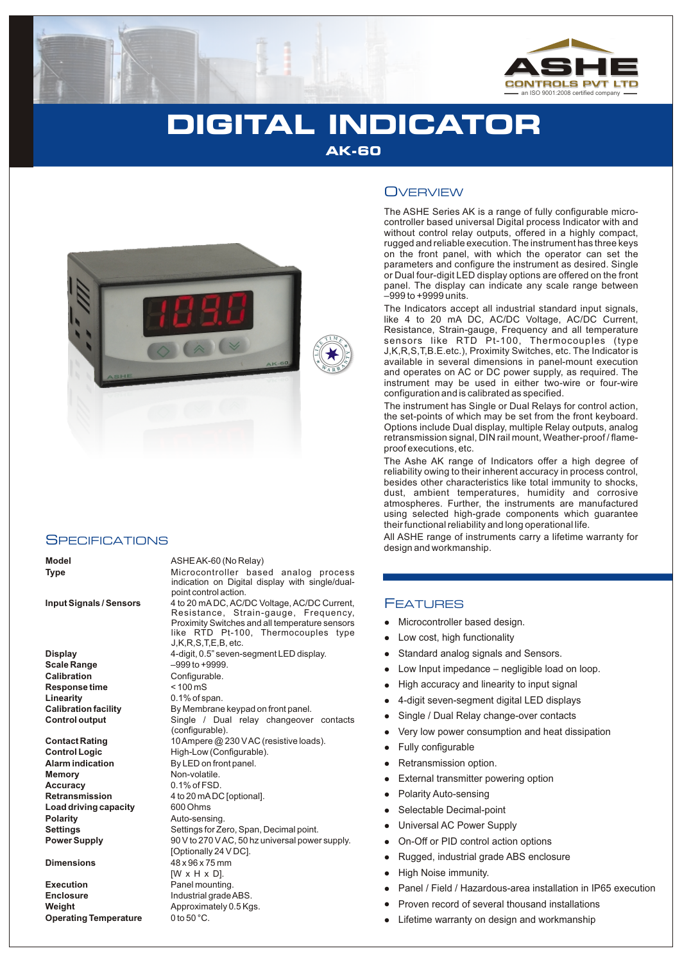

# **DIGITAL INDICATOR AK-60**

**E**



#### **SPECIFICATIONS**

**Display** 4-digit, 0.5" seven-segment LED display. **Scale Range** –999 to +9999. **Calibration**<br> **Response time**<br>  $<$  100 mS **Response time Linearity** 0.1% of span.<br> **Calibration facility** By Membrane

**Memory** Non-volatile. **Accuracy** 0.1% of FSD. **Load driving capacity** 600 Ohms<br> **Polarity** Auto-sens

**Execution** Panel mounting. **Enclosure** Industrial grade ABS. **Weight Approximately 0.5 Kgs.**<br>**Operating Temperature** 0 to 50 °C. **Operating Temperature** 

#### **Model** ASHE AK-60 (No Relay)

**Type** Microcontroller based analog process indication on Digital display with single/dualpoint control action.

**Input Signals / Sensors** 4 to 20 mA DC, AC/DC Voltage, AC/DC Current, Resistance, Strain-gauge, Frequency, Proximity Switches and all temperature sensors like RTD Pt-100, Thermocouples type J,K,R,S,T,E,B, etc.

By Membrane keypad on front panel. **Control output** Single / Dual relay changeover contacts (configurable). **Contact Rating** 10 Ampere @ 230 V AC (resistive loads). **Control Logic** High-Low (Configurable). **Alarm indication** By LED on front panel. **Retransmission** 4 to 20 mADC [optional]. **Polarity** Auto-sensing. **Settings** Settings for Zero, Span, Decimal point.<br> **Power Supply** Settings OV to 270 V AC, 50 hz universal power **Power Supply** 90 V to 270 V AC, 50 hz universal power supply. [Optionally 24 V DC]. **Dimensions** 48 x 96 x 75 mm  $IW \times H \times DI$ .

### **OVERVIEW**

The ASHE Series AK is a range of fully configurable microcontroller based universal Digital process Indicator with and without control relay outputs, offered in a highly compact, rugged and reliable execution. The instrument has three keys on the front panel, with which the operator can set the parameters and configure the instrument as desired. Single or Dual four-digit LED display options are offered on the front panel. The display can indicate any scale range between –999 to +9999 units.

The Indicators accept all industrial standard input signals, like 4 to 20 mA DC, AC/DC Voltage, AC/DC Current, Resistance, Strain-gauge, Frequency and all temperature sensors like RTD Pt-100, Thermocouples (type J,K,R,S,T,B.E.etc.), Proximity Switches, etc. The Indicator is available in several dimensions in panel-mount execution and operates on AC or DC power supply, as required. The instrument may be used in either two-wire or four-wire configuration and is calibrated as specified.

The instrument has Single or Dual Relays for control action, the set-points of which may be set from the front keyboard. Options include Dual display, multiple Relay outputs, analog retransmission signal, DIN rail mount, Weather-proof / flameproof executions, etc.

The Ashe AK range of Indicators offer a high degree of reliability owing to their inherent accuracy in process control, besides other characteristics like total immunity to shocks, dust, ambient temperatures, humidity and corrosive atmospheres. Further, the instruments are manufactured using selected high-grade components which guarantee their functional reliability and long operational life.

All ASHE range of instruments carry a lifetime warranty for design and workmanship.

#### FEATURES

- Microcontroller based design.
- llllow<br>
a Low High<br>
a Low High<br>
a 4-dig<br>
a Sing<br>
b Petra Exte<br>
b Dia Sele<br>
a Univ On-C<br>
Rug<br>
a Prov<br>
Lifet<br>
a Lifet Low cost, high functionality
- Standard analog signals and Sensors.
- Low Input impedance negligible load on loop.
- High accuracy and linearity to input signal
- 4-digit seven-segment digital LED displays
- Single / Dual Relay change-over contacts
- Very low power consumption and heat dissipation
- Fully configurable
- Retransmission option.
- External transmitter powering option
- Polarity Auto-sensing
- Selectable Decimal-point
- Universal AC Power Supply
- On-Off or PID control action options
- Rugged, industrial grade ABS enclosure
- High Noise immunity.
- Panel / Field / Hazardous-area installation in IP65 execution
- Proven record of several thousand installations
- Lifetime warranty on design and workmanship